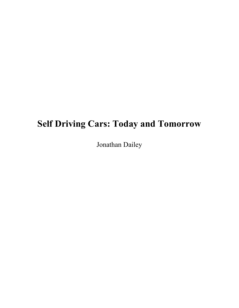# **Self Driving Cars: Today and Tomorrow**

Jonathan Dailey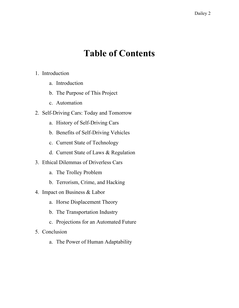## **Table of Contents**

- 1. Introduction
	- a. Introduction
	- b. The Purpose of This Project
	- c. Automation
- 2. Self-Driving Cars: Today and Tomorrow
	- a. History of Self-Driving Cars
	- b. Benefits of Self-Driving Vehicles
	- c. Current State of Technology
	- d. Current State of Laws & Regulation
- 3. Ethical Dilemmas of Driverless Cars
	- a. The Trolley Problem
	- b. Terrorism, Crime, and Hacking
- 4. Impact on Business & Labor
	- a. Horse Displacement Theory
	- b. The Transportation Industry
	- c. Projections for an Automated Future
- 5. Conclusion
	- a. The Power of Human Adaptability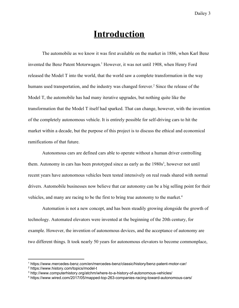### **Introduction**

The automobile as we know it was first available on the market in 1886, when Karl Benz invented the Benz Patent Motorwagen.<sup>1</sup> However, it was not until 1908, when Henry Ford released the Model T into the world, that the world saw a complete transformation in the way humans used transportation, and the industry was changed forever.<sup>2</sup> Since the release of the Model T, the automobile has had many iterative upgrades, but nothing quite like the transformation that the Model T itself had sparked. That can change, however, with the invention of the completely autonomous vehicle. It is entirely possible for self-driving cars to hit the market within a decade, but the purpose of this project is to discuss the ethical and economical ramifications of that future.

Autonomous cars are defined cars able to operate without a human driver controlling them. Autonomy in cars has been prototyped since as early as the  $1980s<sup>3</sup>$ , however not until recent years have autonomous vehicles been tested intensively on real roads shared with normal drivers. Automobile businesses now believe that car autonomy can be a big selling point for their vehicles, and many are racing to be the first to bring true autonomy to the market.<sup>4</sup>

Automation is not a new concept, and has been steadily growing alongside the growth of technology. Automated elevators were invented at the beginning of the 20th century, for example. However, the invention of autonomous devices, and the acceptance of autonomy are two different things. It took nearly 50 years for autonomous elevators to become commonplace,

<sup>1</sup> https://www.mercedes-benz.com/en/mercedes-benz/classic/history/benz-patent-motor-car/

<sup>2</sup> https://www.history.com/topics/model-t

<sup>3</sup> http://www.computerhistory.org/atchm/where-to-a-history-of-autonomous-vehicles/

<sup>4</sup> https://www.wired.com/2017/05/mapped-top-263-companies-racing-toward-autonomous-cars/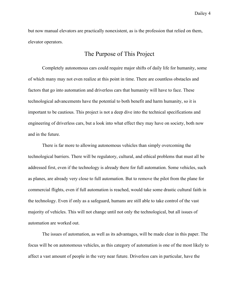but now manual elevators are practically nonexistent, as is the profession that relied on them, elevator operators.

#### The Purpose of This Project

Completely autonomous cars could require major shifts of daily life for humanity, some of which many may not even realize at this point in time. There are countless obstacles and factors that go into automation and driverless cars that humanity will have to face. These technological advancements have the potential to both benefit and harm humanity, so it is important to be cautious. This project is not a deep dive into the technical specifications and engineering of driverless cars, but a look into what effect they may have on society, both now and in the future.

There is far more to allowing autonomous vehicles than simply overcoming the technological barriers. There will be regulatory, cultural, and ethical problems that must all be addressed first, even if the technology is already there for full automation. Some vehicles, such as planes, are already very close to full automation. But to remove the pilot from the plane for commercial flights, even if full automation is reached, would take some drastic cultural faith in the technology. Even if only as a safeguard, humans are still able to take control of the vast majority of vehicles. This will not change until not only the technological, but all issues of automation are worked out.

The issues of automation, as well as its advantages, will be made clear in this paper. The focus will be on autonomous vehicles, as this category of automation is one of the most likely to affect a vast amount of people in the very near future. Driverless cars in particular, have the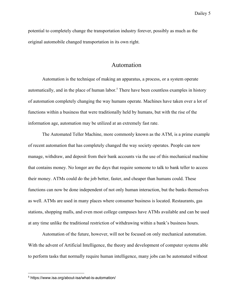potential to completely change the transportation industry forever, possibly as much as the original automobile changed transportation in its own right.

#### Automation

Automation is the technique of making an apparatus, a process, or a system operate automatically, and in the place of human labor.<sup>5</sup> There have been countless examples in history of automation completely changing the way humans operate. Machines have taken over a lot of functions within a business that were traditionally held by humans, but with the rise of the information age, automation may be utilized at an extremely fast rate.

The Automated Teller Machine, more commonly known as the ATM, is a prime example of recent automation that has completely changed the way society operates. People can now manage, withdraw, and deposit from their bank accounts via the use of this mechanical machine that contains money. No longer are the days that require someone to talk to bank teller to access their money. ATMs could do the job better, faster, and cheaper than humans could. These functions can now be done independent of not only human interaction, but the banks themselves as well. ATMs are used in many places where consumer business is located. Restaurants, gas stations, shopping malls, and even most college campuses have ATMs available and can be used at any time unlike the traditional restriction of withdrawing within a bank's business hours.

Automation of the future, however, will not be focused on only mechanical automation. With the advent of Artificial Intelligence, the theory and development of computer systems able to perform tasks that normally require human intelligence, many jobs can be automated without

<sup>5</sup> https://www.isa.org/about-isa/what-is-automation/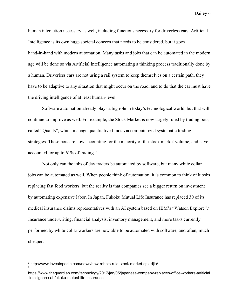human interaction necessary as well, including functions necessary for driverless cars. Artificial Intelligence is its own huge societal concern that needs to be considered, but it goes hand-in-hand with modern automation. Many tasks and jobs that can be automated in the modern age will be done so via Artificial Intelligence automating a thinking process traditionally done by a human. Driverless cars are not using a rail system to keep themselves on a certain path, they have to be adaptive to any situation that might occur on the road, and to do that the car must have the driving intelligence of at least human-level.

Software automation already plays a big role in today's technological world, but that will continue to improve as well. For example, the Stock Market is now largely ruled by trading bots, called "Quants", which manage quantitative funds via computerized systematic trading strategies. These bots are now accounting for the majority of the stock market volume, and have accounted for up to 61% of trading. <sup>6</sup>

Not only can the jobs of day traders be automated by software, but many white collar jobs can be automated as well. When people think of automation, it is common to think of kiosks replacing fast food workers, but the reality is that companies see a bigger return on investment by automating expensive labor. In Japan, Fukoku Mutual Life Insurance has replaced 30 of its medical insurance claims representatives with an AI system based on IBM's "Watson Explore".<sup>7</sup> Insurance underwriting, financial analysis, inventory management, and more tasks currently performed by white-collar workers are now able to be automated with software, and often, much cheaper.

7

<sup>6</sup> http://www.investopedia.com/news/how-robots-rule-stock-market-spx-djia/

https://www.theguardian.com/technology/2017/jan/05/japanese-company-replaces-office-workers-artificial -intelligence-ai-fukoku-mutual-life-insurance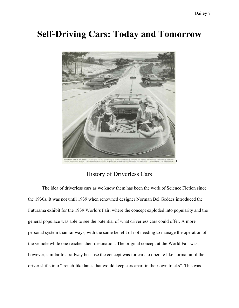### **Self-Driving Cars: Today and Tomorrow**



### History of Driverless Cars

The idea of driverless cars as we know them has been the work of Science Fiction since the 1930s. It was not until 1939 when renowned designer Norman Bel Geddes introduced the Futurama exhibit for the 1939 World's Fair, where the concept exploded into popularity and the general populace was able to see the potential of what driverless cars could offer. A more personal system than railways, with the same benefit of not needing to manage the operation of the vehicle while one reaches their destination. The original concept at the World Fair was, however, similar to a railway because the concept was for cars to operate like normal until the driver shifts into "trench-like lanes that would keep cars apart in their own tracks". This was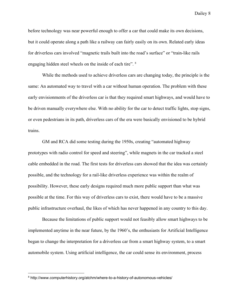before technology was near powerful enough to offer a car that could make its own decisions, but it could operate along a path like a railway can fairly easily on its own. Related early ideas for driverless cars involved "magnetic trails built into the road's surface" or "train-like rails engaging hidden steel wheels on the inside of each tire". <sup>8</sup>

While the methods used to achieve driverless cars are changing today, the principle is the same: An automated way to travel with a car without human operation. The problem with these early envisionments of the driverless car is that they required smart highways, and would have to be driven manually everywhere else. With no ability for the car to detect traffic lights, stop signs, or even pedestrians in its path, driverless cars of the era were basically envisioned to be hybrid trains.

GM and RCA did some testing during the 1950s, creating "automated highway prototypes with radio control for speed and steering", while magnets in the car tracked a steel cable embedded in the road. The first tests for driverless cars showed that the idea was certainly possible, and the technology for a rail-like driverless experience was within the realm of possibility. However, these early designs required much more public support than what was possible at the time. For this way of driverless cars to exist, there would have to be a massive public infrastructure overhaul, the likes of which has never happened in any country to this day.

Because the limitations of public support would not feasibly allow smart highways to be implemented anytime in the near future, by the 1960's, the enthusiasts for Artificial Intelligence began to change the interpretation for a driverless car from a smart highway system, to a smart automobile system. Using artificial intelligence, the car could sense its environment, process

<sup>&</sup>lt;sup>8</sup> http://www.computerhistory.org/atchm/where-to-a-history-of-autonomous-vehicles/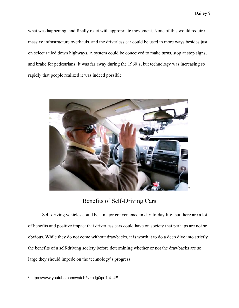what was happening, and finally react with appropriate movement. None of this would require massive infrastructure overhauls, and the driverless car could be used in more ways besides just on select railed down highways. A system could be conceived to make turns, stop at stop signs, and brake for pedestrians. It was far away during the 1960's, but technology was increasing so rapidly that people realized it was indeed possible.



Benefits of Self-Driving Cars

Self-driving vehicles could be a major convenience in day-to-day life, but there are a lot of benefits and positive impact that driverless cars could have on society that perhaps are not so obvious. While they do not come without drawbacks, it is worth it to do a deep dive into strictly the benefits of a self-driving society before determining whether or not the drawbacks are so large they should impede on the technology's progress.

<sup>9</sup> https://www.youtube.com/watch?v=cdgQpa1pUUE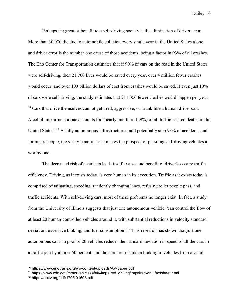Perhaps the greatest benefit to a self-driving society is the elimination of driver error. More than 30,000 die due to automobile collision every single year in the United States alone and driver error is the number one cause of those accidents, being a factor in 93% of all crashes. The Eno Center for Transportation estimates that if 90% of cars on the road in the United States were self-driving, then 21,700 lives would be saved every year, over 4 million fewer crashes would occur, and over 100 billion dollars of cost from crashes would be saved. If even just 10% of cars were self-driving, the study estimates that 211,000 fewer crashes would happen per year.  $10$  Cars that drive themselves cannot get tired, aggressive, or drunk like a human driver can. Alcohol impairment alone accounts for "nearly one-third (29%) of all traffic-related deaths in the United States".<sup>11</sup> A fully autonomous infrastructure could potentially stop  $93\%$  of accidents and for many people, the safety benefit alone makes the prospect of pursuing self-driving vehicles a worthy one.

The decreased risk of accidents leads itself to a second benefit of driverless cars: traffic efficiency. Driving, as it exists today, is very human in its execution. Traffic as it exists today is comprised of tailgating, speeding, randomly changing lanes, refusing to let people pass, and traffic accidents. With self-driving cars, most of these problems no longer exist. In fact, a study from the University of Illinois suggests that just one autonomous vehicle "can control the flow of at least 20 human-controlled vehicles around it, with substantial reductions in velocity standard deviation, excessive braking, and fuel consumption".<sup>12</sup> This research has shown that just one autonomous car in a pool of 20 vehicles reduces the standard deviation in speed of all the cars in a traffic jam by almost 50 percent, and the amount of sudden braking in vehicles from around

<sup>10</sup> https://www.enotrans.org/wp-content/uploads/AV-paper.pdf

<sup>&</sup>lt;sup>11</sup> https://www.cdc.gov/motorvehiclesafety/impaired\_driving/impaired-drv\_factsheet.html

<sup>12</sup> https://arxiv.org/pdf/1705.01693.pdf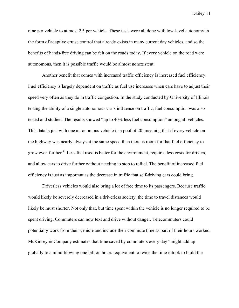nine per vehicle to at most 2.5 per vehicle. These tests were all done with low-level autonomy in the form of adaptive cruise control that already exists in many current day vehicles, and so the benefits of hands-free driving can be felt on the roads today. If every vehicle on the road were autonomous, then it is possible traffic would be almost nonexistent.

Another benefit that comes with increased traffic efficiency is increased fuel efficiency. Fuel efficiency is largely dependent on traffic as fuel use increases when cars have to adjust their speed very often as they do in traffic congestion. In the study conducted by University of Illinois testing the ability of a single autonomous car's influence on traffic, fuel consumption was also tested and studied. The results showed "up to 40% less fuel consumption" among all vehicles. This data is just with one autonomous vehicle in a pool of 20, meaning that if every vehicle on the highway was nearly always at the same speed then there is room for that fuel efficiency to grow even further.<sup>11</sup> Less fuel used is better for the environment, requires less costs for drivers, and allow cars to drive further without needing to stop to refuel. The benefit of increased fuel efficiency is just as important as the decrease in traffic that self-driving cars could bring.

Driverless vehicles would also bring a lot of free time to its passengers. Because traffic would likely be severely decreased in a driverless society, the time to travel distances would likely be must shorter. Not only that, but time spent within the vehicle is no longer required to be spent driving. Commuters can now text and drive without danger. Telecommuters could potentially work from their vehicle and include their commute time as part of their hours worked. McKinsey & Company estimates that time saved by commuters every day "might add up globally to a mind-blowing one billion hours- equivalent to twice the time it took to build the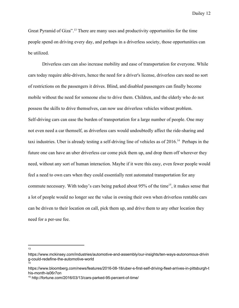Great Pyramid of Giza".<sup>13</sup> There are many uses and productivity opportunities for the time people spend on driving every day, and perhaps in a driverless society, those opportunities can be utilized.

Driverless cars can also increase mobility and ease of transportation for everyone. While cars today require able-drivers, hence the need for a driver's license, driverless cars need no sort of restrictions on the passengers it drives. Blind, and disabled passengers can finally become mobile without the need for someone else to drive them. Children, and the elderly who do not possess the skills to drive themselves, can now use driverless vehicles without problem. Self-driving cars can ease the burden of transportation for a large number of people. One may not even need a car themself, as driverless cars would undoubtedly affect the ride-sharing and taxi industries. Uber is already testing a self-driving line of vehicles as of  $2016$ .<sup>14</sup> Perhaps in the future one can have an uber driverless car come pick them up, and drop them off wherever they need, without any sort of human interaction. Maybe if it were this easy, even fewer people would feel a need to own cars when they could essentially rent automated transportation for any commute necessary. With today's cars being parked about 95% of the time<sup>15</sup>, it makes sense that a lot of people would no longer see the value in owning their own when driverless rentable cars can be driven to their location on call, pick them up, and drive them to any other location they need for a per-use fee.

13

https://www.mckinsey.com/industries/automotive-and-assembly/our-insights/ten-ways-autonomous-drivin g-could-redefine-the-automotive-world 14

https://www.bloomberg.com/news/features/2016-08-18/uber-s-first-self-driving-fleet-arrives-in-pittsburgh-t his-month-is06r7on

<sup>15</sup> http://fortune.com/2016/03/13/cars-parked-95-percent-of-time/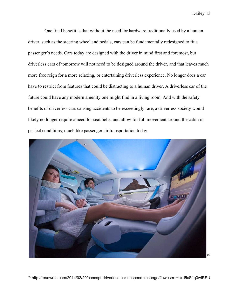One final benefit is that without the need for hardware traditionally used by a human driver, such as the steering wheel and pedals, cars can be fundamentally redesigned to fit a passenger's needs. Cars today are designed with the driver in mind first and foremost, but driverless cars of tomorrow will not need to be designed around the driver, and that leaves much more free reign for a more relaxing, or entertaining driverless experience. No longer does a car have to restrict from features that could be distracting to a human driver. A driverless car of the future could have any modern amenity one might find in a living room. And with the safety benefits of driverless cars causing accidents to be exceedingly rare, a driverless society would likely no longer require a need for seat belts, and allow for full movement around the cabin in perfect conditions, much like passenger air transportation today.



<sup>16</sup> http://readwrite.com/2014/02/20/concept-driverless-car-rinspeed-xchange/#awesm=~oxd5xS1q3wIRSU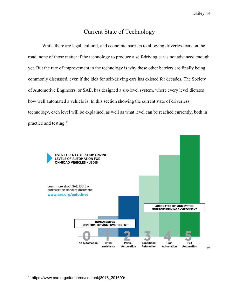### Current State of Technology

While there are legal, cultural, and economic barriers to allowing driverless cars on the road, none of those matter if the technology to produce a self-driving car is not advanced enough yet. But the rate of improvement in the technology is why these other barriers are finally being commonly discussed, even if the idea for self-driving cars has existed for decades. The Society of Automotive Engineers, or SAE, has designed a six-level system, where every level dictates how well automated a vehicle is. In this section showing the current state of driverless technology, each level will be explained, as well as what level can be reached currently, both in practice and testing.<sup>17</sup>



<sup>17</sup> https://www.sae.org/standards/content/j3016\_201609/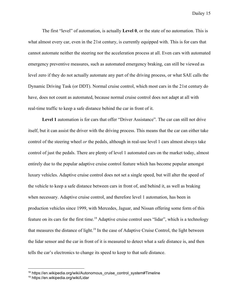The first "level" of automation, is actually **Level 0**, or the state of no automation. This is what almost every car, even in the 21st century, is currently equipped with. This is for cars that cannot automate neither the steering nor the acceleration process at all. Even cars with automated emergency preventive measures, such as automated emergency braking, can still be viewed as level zero if they do not actually automate any part of the driving process, or what SAE calls the Dynamic Driving Task (or DDT). Normal cruise control, which most cars in the 21st century do have, does not count as automated, because normal cruise control does not adapt at all with real-time traffic to keep a safe distance behind the car in front of it.

Level 1 automation is for cars that offer "Driver Assistance". The car can still not drive itself, but it can assist the driver with the driving process. This means that the car can either take control of the steering wheel *or* the pedals, although in real-use level 1 cars almost always take control of just the pedals. There are plenty of level 1 automated cars on the market today, almost entirely due to the popular adaptive cruise control feature which has become popular amongst luxury vehicles. Adaptive cruise control does not set a single speed, but will alter the speed of the vehicle to keep a safe distance between cars in front of, and behind it, as well as braking when necessary. Adaptive cruise control, and therefore level 1 automation, has been in production vehicles since 1999, with Mercedes, Jaguar, and Nissan offering some form of this feature on its cars for the first time.<sup>18</sup> Adaptive cruise control uses "lidar", which is a technology that measures the distance of light.<sup>19</sup> In the case of Adaptive Cruise Control, the light between the lidar sensor and the car in front of it is measured to detect what a safe distance is, and then tells the car's electronics to change its speed to keep to that safe distance.

<sup>&</sup>lt;sup>18</sup> https://en.wikipedia.org/wiki/Autonomous\_cruise\_control\_system#Timeline

<sup>19</sup> https://en.wikipedia.org/wiki/Lidar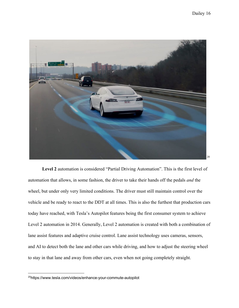

**Level 2** automation is considered "Partial Driving Automation". This is the first level of automation that allows, in some fashion, the driver to take their hands off the pedals *and* the wheel, but under only very limited conditions. The driver must still maintain control over the vehicle and be ready to react to the DDT at all times. This is also the furthest that production cars today have reached, with Tesla's Autopilot features being the first consumer system to achieve Level 2 automation in 2014. Generally, Level 2 automation is created with both a combination of lane assist features and adaptive cruise control. Lane assist technology uses cameras, sensors, and AI to detect both the lane and other cars while driving, and how to adjust the steering wheel to stay in that lane and away from other cars, even when not going completely straight.

<sup>20</sup>https://www.tesla.com/videos/enhance-your-commute-autopilot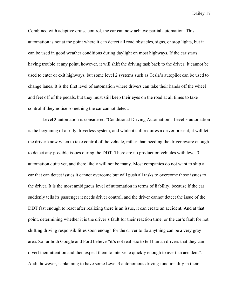Combined with adaptive cruise control, the car can now achieve partial automation. This automation is not at the point where it can detect all road obstacles, signs, or stop lights, but it can be used in good weather conditions during daylight on most highways. If the car starts having trouble at any point, however, it will shift the driving task back to the driver. It cannot be used to enter or exit highways, but some level 2 systems such as Tesla's autopilot can be used to change lanes. It is the first level of automation where drivers can take their hands off the wheel and feet off of the pedals, but they must still keep their eyes on the road at all times to take control if they notice something the car cannot detect.

**Level 3** automation is considered "Conditional Driving Automation". Level 3 automation is the beginning of a truly driverless system, and while it still requires a driver present, it will let the driver know when to take control of the vehicle, rather than needing the driver aware enough to detect any possible issues during the DDT. There are no production vehicles with level 3 automation quite yet, and there likely will not be many. Most companies do not want to ship a car that can detect issues it cannot overcome but will push all tasks to overcome those issues to the driver. It is the most ambiguous level of automation in terms of liability, because if the car suddenly tells its passenger it needs driver control, and the driver cannot detect the issue of the DDT fast enough to react after realizing there is an issue, it can create an accident. And at that point, determining whether it is the driver's fault for their reaction time, or the car's fault for not shifting driving responsibilities soon enough for the driver to do anything can be a very gray area. So far both Google and Ford believe "it's not realistic to tell human drivers that they can divert their attention and then expect them to intervene quickly enough to avert an accident". Audi, however, is planning to have some Level 3 autonomous driving functionality in their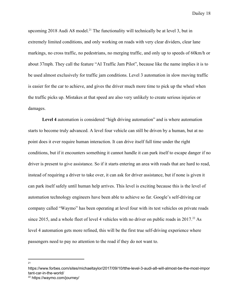upcoming 2018 Audi A8 model.<sup>21</sup> The functionality will technically be at level 3, but in extremely limited conditions, and only working on roads with very clear dividers, clear lane markings, no cross traffic, no pedestrians, no merging traffic, and only up to speeds of 60km/h or about 37mph. They call the feature "AI Traffic Jam Pilot", because like the name implies it is to be used almost exclusively for traffic jam conditions. Level 3 automation in slow moving traffic is easier for the car to achieve, and gives the driver much more time to pick up the wheel when the traffic picks up. Mistakes at that speed are also very unlikely to create serious injuries or damages.

**Level 4** automation is considered "high driving automation" and is where automation starts to become truly advanced. A level four vehicle can still be driven by a human, but at no point does it ever require human interaction. It can drive itself full time under the right conditions, but if it encounters something it cannot handle it can park itself to escape danger if no driver is present to give assistance. So if it starts entering an area with roads that are hard to read, instead of requiring a driver to take over, it can ask for driver assistance, but if none is given it can park itself safely until human help arrives. This level is exciting because this is the level of automation technology engineers have been able to achieve so far. Google's self-driving car company called "Waymo" has been operating at level four with its test vehicles on private roads since 2015, and a whole fleet of level 4 vehicles with no driver on public roads in  $2017<sup>22</sup>$  As level 4 automation gets more refined, this will be the first true self-driving experience where passengers need to pay no attention to the road if they do not want to.

21

https://www.forbes.com/sites/michaeltaylor/2017/09/10/tthe-level-3-audi-a8-will-almost-be-the-most-impor tant-car-in-the-world/

<sup>22</sup> https://waymo.com/journey/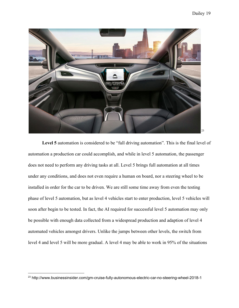

Level 5 automation is considered to be "full driving automation". This is the final level of automation a production car could accomplish, and while in level 5 automation, the passenger does not need to perform any driving tasks at all. Level 5 brings full automation at all times under any conditions, and does not even require a human on board, nor a steering wheel to be installed in order for the car to be driven. We are still some time away from even the testing phase of level 5 automation, but as level 4 vehicles start to enter production, level 5 vehicles will soon after begin to be tested. In fact, the AI required for successful level 5 automation may only be possible with enough data collected from a widespread production and adaption of level 4 automated vehicles amongst drivers. Unlike the jumps between other levels, the switch from level 4 and level 5 will be more gradual. A level 4 may be able to work in 95% of the situations

<sup>&</sup>lt;sup>23</sup> http://www.businessinsider.com/gm-cruise-fully-autonomous-electric-car-no-steering-wheel-2018-1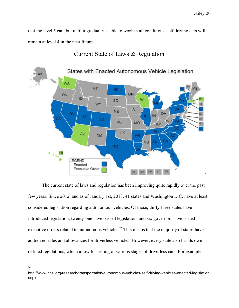that the level 5 can, but until it gradually is able to work in all conditions, self driving cars will remain at level 4 in the near future.



### Current State of Laws & Regulation

The current state of laws and regulation has been improving quite rapidly over the past few years. Since 2012, and as of January 1st, 2018, 41 states and Washington D.C. have at least considered legislation regarding autonomous vehicles. Of those, thirty-three states have introduced legislation, twenty-one have passed legislation, and six governors have issued executive orders related to autonomous vehicles.<sup>23</sup> This means that the majority of states have addressed rules and allowances for driverless vehicles. However, every state also has its own defined regulations, which allow for testing of various stages of driverless cars. For example,

24

http://www.ncsl.org/research/transportation/autonomous-vehicles-self-driving-vehicles-enacted-legislation. aspx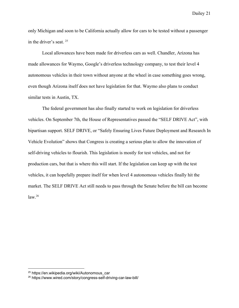only Michigan and soon to be California actually allow for cars to be tested without a passenger in the driver's seat. <sup>25</sup>

Local allowances have been made for driverless cars as well. Chandler, Arizona has made allowances for Waymo, Google's driverless technology company, to test their level 4 autonomous vehicles in their town without anyone at the wheel in case something goes wrong, even though Arizona itself does not have legislation for that. Waymo also plans to conduct similar tests in Austin, TX.

The federal government has also finally started to work on legislation for driverless vehicles. On September 7th, the House of Representatives passed the "SELF DRIVE Act", with bipartisan support. SELF DRIVE, or "Safely Ensuring Lives Future Deployment and Research In Vehicle Evolution" shows that Congress is creating a serious plan to allow the innovation of self-driving vehicles to flourish. This legislation is mostly for test vehicles, and not for production cars, but that is where this will start. If the legislation can keep up with the test vehicles, it can hopefully prepare itself for when level 4 autonomous vehicles finally hit the market. The SELF DRIVE Act still needs to pass through the Senate before the bill can become  $law.<sup>26</sup>$ 

<sup>25</sup> https://en.wikipedia.org/wiki/Autonomous\_car

<sup>26</sup> https://www.wired.com/story/congress-self-driving-car-law-bill/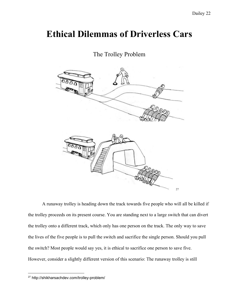### **Ethical Dilemmas of Driverless Cars**

### The Trolley Problem



A runaway trolley is heading down the track towards five people who will all be killed if the trolley proceeds on its present course. You are standing next to a large switch that can divert the trolley onto a different track, which only has one person on the track. The only way to save the lives of the five people is to pull the switch and sacrifice the single person. Should you pull the switch? Most people would say yes, it is ethical to sacrifice one person to save five. However, consider a slightly different version of this scenario: The runaway trolley is still

<sup>27</sup> http://shikharsachdev.com/trolley-problem/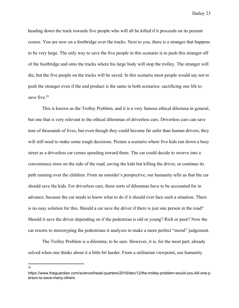heading down the track towards five people who will all be killed if it proceeds on its present course. You are now on a footbridge over the tracks. Next to you, there is a stranger that happens to be very large. The only way to save the five people in this scenario is to push this stranger off of the footbridge and onto the tracks where his large body will stop the trolley. The stranger will die, but the five people on the tracks will be saved. In this scenario most people would say not to push the stranger even if the end product is the same in both scenarios: sacrificing one life to save five.<sup>28</sup>

This is known as the Trolley Problem, and it is a very famous ethical dilemma in general, but one that is very relevant to the ethical dilemmas of driverless cars. Driverless cars can save tens of thousands of lives, but even though they could become far safer than human drivers, they will still need to make some tough decisions. Picture a scenario where five kids run down a busy street as a driverless car comes speeding toward them. The car could decide to swerve into a convenience store on the side of the road, saving the kids but killing the driver, or continue its path running over the children. From an outsider's perspective, our humanity tells us that the car should save the kids. For driverless cars, these sorts of dilemmas have to be accounted for in advance, because the car needs to know what to do if it should ever face such a situation. There is no easy solution for this. Should a car save the driver if there is just one person in the road? Should it save the driver depending on if the pedestrian is old or young? Rich or poor? Now the car resorts to stereotyping the pedestrians it analyzes to make a more perfect "moral" judgement.

The Trolley Problem is a dilemma, to be sure. However, it is, for the most part, already solved when one thinks about it a little bit harder. From a utilitarian viewpoint, our humanity

28

https://www.theguardian.com/science/head-quarters/2016/dec/12/the-trolley-problem-would-you-kill-one-p erson-to-save-many-others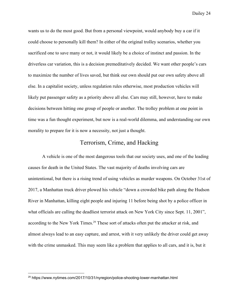wants us to do the most good. But from a personal viewpoint, would anybody buy a car if it could choose to personally kill them? In either of the original trolley scenarios, whether you sacrificed one to save many or not, it would likely be a choice of instinct and passion. In the driverless car variation, this is a decision premeditatively decided. We want other people's cars to maximize the number of lives saved, but think our own should put our own safety above all else. In a capitalist society, unless regulation rules otherwise, most production vehicles will likely put passenger safety as a priority above all else. Cars may still, however, have to make decisions between hitting one group of people or another. The trolley problem at one point in time was a fun thought experiment, but now is a real-world dilemma, and understanding our own morality to prepare for it is now a necessity, not just a thought.

### Terrorism, Crime, and Hacking

A vehicle is one of the most dangerous tools that our society uses, and one of the leading causes for death in the United States. The vast majority of deaths involving cars are unintentional, but there is a rising trend of using vehicles as murder weapons. On October 31st of 2017, a Manhattan truck driver plowed his vehicle "down a crowded bike path along the Hudson River in Manhattan, killing eight people and injuring 11 before being shot by a police officer in what officials are calling the deadliest terrorist attack on New York City since Sept. 11, 2001", according to the New York Times.<sup>29</sup> These sort of attacks often put the attacker at risk, and almost always lead to an easy capture, and arrest, with it very unlikely the driver could get away with the crime unmasked. This may seem like a problem that applies to all cars, and it is, but it

<sup>&</sup>lt;sup>29</sup> https://www.nytimes.com/2017/10/31/nyregion/police-shooting-lower-manhattan.html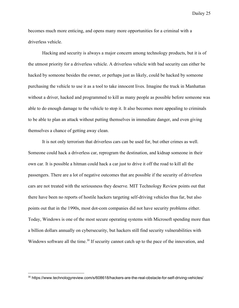becomes much more enticing, and opens many more opportunities for a criminal with a driverless vehicle.

Hacking and security is always a major concern among technology products, but it is of the utmost priority for a driverless vehicle. A driverless vehicle with bad security can either be hacked by someone besides the owner, or perhaps just as likely, could be hacked by someone purchasing the vehicle to use it as a tool to take innocent lives. Imagine the truck in Manhattan without a driver, hacked and programmed to kill as many people as possible before someone was able to do enough damage to the vehicle to stop it. It also becomes more appealing to criminals to be able to plan an attack without putting themselves in immediate danger, and even giving themselves a chance of getting away clean.

It is not only terrorism that driverless cars can be used for, but other crimes as well. Someone could hack a driverless car, reprogram the destination, and kidnap someone in their own car. It is possible a hitman could hack a car just to drive it off the road to kill all the passengers. There are a lot of negative outcomes that are possible if the security of driverless cars are not treated with the seriousness they deserve. MIT Technology Review points out that there have been no reports of hostile hackers targeting self-driving vehicles thus far, but also points out that in the 1990s, most dot-com companies did not have security problems either. Today, Windows is one of the most secure operating systems with Microsoft spending more than a billion dollars annually on cybersecurity, but hackers still find security vulnerabilities with Windows software all the time.<sup>30</sup> If security cannot catch up to the pace of the innovation, and

<sup>30</sup> https://www.technologyreview.com/s/608618/hackers-are-the-real-obstacle-for-self-driving-vehicles/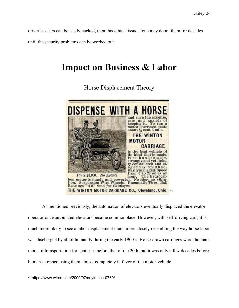driverless cars can be easily hacked, then this ethical issue alone may doom them for decades until the security problems can be worked out.

### **Impact on Business & Labor**



Horse Displacement Theory

As mentioned previously, the automation of elevators eventually displaced the elevator operator once automated elevators became commonplace. However, with self-driving cars, it is much more likely to see a labor displacement much more closely resembling the way horse labor was discharged by all of humanity during the early 1900's. Horse-drawn carriages were the main mode of transportation for centuries before that of the 20th, but it was only a few decades before humans stopped using them almost completely in favor of the motor-vehicle.

<sup>31</sup> https://www.wired.com/2009/07/dayintech-0730/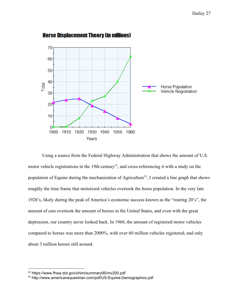

#### **Horse Displacement Theory (in millions)**

Using a source from the Federal Highway Administration that shows the amount of U.S. motor vehicle registrations in the 19th century<sup>32</sup>, and cross-referencing it with a study on the population of Equine during the mechanization of Agriculture<sup>33</sup>, I created a line graph that shows roughly the time frame that motorized vehicles overtook the horse population. In the very late 1920's, likely during the peak of America's economic success known as the "roaring 20's", the amount of cars overtook the amount of horses in the United States, and even with the great depression, our country never looked back. In 1960, the amount of registered motor vehicles compared to horses was more than 2000%, with over 60 million vehicles registered, and only about 3 million horses still around.

<sup>32</sup> https://www.fhwa.dot.gov/ohim/summary95/mv200.pdf

<sup>33</sup> http://www.americanequestrian.com/pdf/US-Equine-Demographics.pdf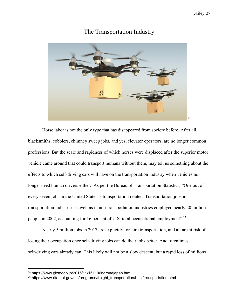

### The Transportation Industry

Horse labor is not the only type that has disappeared from society before. After all, blacksmiths, cobblers, chimney sweep jobs, and yes, elevator operators, are no longer common professions. But the scale and rapidness of which horses were displaced after the superior motor vehicle came around that could transport humans without them, may tell us something about the effects to which self-driving cars will have on the transportation industry when vehicles no longer need human drivers either. As per the Bureau of Transportation Statistics, "One out of every seven jobs in the United States is transportation related. Transportation jobs in transportation industries as well as in non-transportation industries employed nearly 20 million people in 2002, accounting for 16 percent of U.S. total occupational employment".<sup>35</sup>

Nearly 5 million jobs in 2017 are explicitly for-hire transportation, and all are at risk of losing their occupation once self-driving jobs can do their jobs better. And oftentimes, self-driving cars already can. This likely will not be a slow descent, but a rapid loss of millions

<sup>34</sup> https://www.gizmodo.jp/2015/11/151106ndronejapan.html

<sup>&</sup>lt;sup>35</sup> https://www.rita.dot.gov/bts/programs/freight\_transportation/html/transportation.html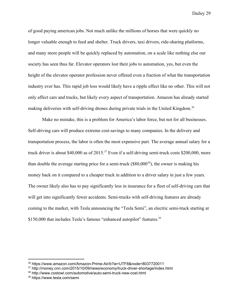of good paying american jobs. Not much unlike the millions of horses that were quickly no longer valuable enough to feed and shelter. Truck drivers, taxi drivers, ride-sharing platforms, and many more people will be quickly replaced by automation, on a scale like nothing else our society has seen thus far. Elevator operators lost their jobs to automation, yes, but even the height of the elevator operator profession never offered even a fraction of what the transportation industry ever has. This rapid job loss would likely have a ripple effect like no other. This will not only affect cars and trucks, but likely every aspect of transportation. Amazon has already started making deliveries with self-driving drones during private trials in the United Kingdom.<sup>36</sup>

Make no mistake, this is a problem for America's labor force, but not for all businesses. Self-driving cars will produce extreme cost-savings to many companies. In the delivery and transportation process, the labor is often the most expensive part. The average annual salary for a truck driver is about \$40,000 as of  $2015$ .<sup>37</sup> Even if a self-driving semi-truck costs \$200,000, more than double the average starting price for a semi-truck  $(\$80,000^{38})$ , the owner is making his money back on it compared to a cheaper truck in addition to a driver salary in just a few years. The owner likely also has to pay significantly less in insurance for a fleet of self-driving cars that will get into significantly fewer accidents. Semi-trucks with self-driving features are already coming to the market, with Tesla announcing the "Tesla Semi", an electric semi-truck starting at \$150,000 that includes Tesla's famous "enhanced autopilot" features.<sup>39</sup>

<sup>36</sup> https://www.amazon.com/Amazon-Prime-Air/b?ie=UTF8&node=8037720011

<sup>37</sup> http://money.cnn.com/2015/10/09/news/economy/truck-driver-shortage/index.html

<sup>38</sup> http://www.costowl.com/automotive/auto-semi-truck-new-cost.html

<sup>39</sup> https://www.tesla.com/semi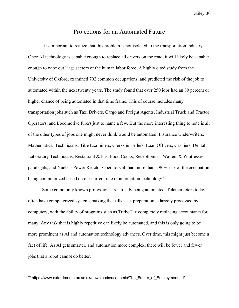### Projections for an Automated Future

It is important to realize that this problem is not isolated to the transportation industry. Once AI technology is capable enough to replace all drivers on the road, it will likely be capable enough to wipe out large sectors of the human labor force. A highly cited study from the University of Oxford, examined 702 common occupations, and predicted the risk of the job to automated within the next twenty years. The study found that over 250 jobs had an 80 percent or higher chance of being automated in that time frame. This of course includes many transportation jobs such as Taxi Drivers, Cargo and Freight Agents, Industrial Truck and Tractor Operators, and Locomotive Firers just to name a few. But the more interesting thing to note is all of the other types of jobs one might never think would be automated: Insurance Underwriters, Mathematical Technicians, Title Examiners, Clerks & Tellers, Loan Officers, Cashiers, Dental Laboratory Technicians, Restaurant & Fast Food Cooks, Receptionists, Waiters & Waitresses, paralegals, and Nuclear Power Reactor Operators all had more than a 90% risk of the occupation being computerized based on our current rate of automation technology.<sup>40</sup>

Some commonly known professions are already being automated. Telemarketers today often have computerized systems making the calls. Tax preparation is largely processed by computers, with the ability of programs such as TurboTax completely replacing accountants for many. Any task that is highly repetitive can likely be automated, and this is only going to be more prominent as AI and automation technology advances. Over time, this might just become a fact of life. As AI gets smarter, and automation more complex, there will be fewer and fewer jobs that a robot cannot do better.

<sup>40</sup> https://www.oxfordmartin.ox.ac.uk/downloads/academic/The\_Future\_of\_Employment.pdf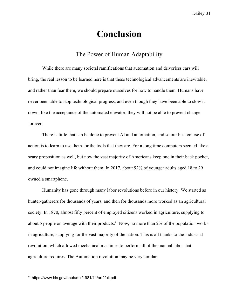### **Conclusion**

### The Power of Human Adaptability

While there are many societal ramifications that automation and driverless cars will bring, the real lesson to be learned here is that these technological advancements are inevitable, and rather than fear them, we should prepare ourselves for how to handle them. Humans have never been able to stop technological progress, and even though they have been able to slow it down, like the acceptance of the automated elevator, they will not be able to prevent change forever.

There is little that can be done to prevent AI and automation, and so our best course of action is to learn to use them for the tools that they are. For a long time computers seemed like a scary proposition as well, but now the vast majority of Americans keep one in their back pocket, and could not imagine life without them. In 2017, about 92% of younger adults aged 18 to 29 owned a smartphone.

Humanity has gone through many labor revolutions before in our history. We started as hunter-gatherers for thousands of years, and then for thousands more worked as an agricultural society. In 1870, almost fifty percent of employed citizens worked in agriculture, supplying to about 5 people on average with their products.<sup> $41$ </sup> Now, no more than 2% of the population works in agriculture, supplying for the vast majority of the nation. This is all thanks to the industrial revolution, which allowed mechanical machines to perform all of the manual labor that agriculture requires. The Automation revolution may be very similar.

<sup>41</sup> https://www.bls.gov/opub/mlr/1981/11/art2full.pdf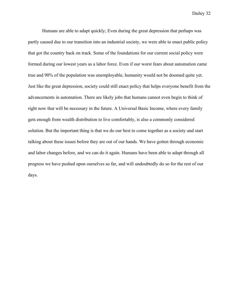Humans are able to adapt quickly; Even during the great depression that perhaps was partly caused due to our transition into an industrial society, we were able to enact public policy that got the country back on track. Some of the foundations for our current social policy were formed during our lowest years as a labor force. Even if our worst fears about automation came true and 90% of the population was unemployable, humanity would not be doomed quite yet. Just like the great depression, society could still enact policy that helps everyone benefit from the advancements in automation. There are likely jobs that humans cannot even begin to think of right now that will be necessary in the future. A Universal Basic Income, where every family gets enough from wealth distribution to live comfortably, is also a commonly considered solution. But the important thing is that we do our best to come together as a society and start talking about these issues before they are out of our hands. We have gotten through economic and labor changes before, and we can do it again. Humans have been able to adapt through all progress we have pushed upon ourselves so far, and will undoubtedly do so for the rest of our days.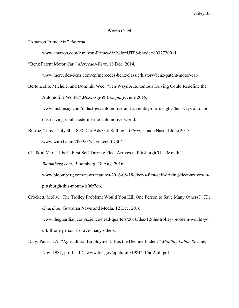#### Works Cited

"Amazon Prime Air." *Amazon*,

www.amazon.com/Amazon-Prime-Air/b?ie=UTF8&node=8037720011.

"Benz Patent Motor Car." *Mercedes-Benz*, 18 Dec. 2014,

www.mercedes-benz.com/en/mercedes-benz/classic/history/benz-patent-motor-car/.

- Bertoncello, Michele, and Dominik Wee. "Ten Ways Autonomous Driving Could Redefine the Automotive World." *McKinsey & Company*, June 2015, www.mckinsey.com/industries/automotive-and-assembly/our-insights/ten-ways-autonom ous-driving-could-redefine-the-automotive-world.
- Borroz, Tony. "July 30, 1898: Car Ads Get Rolling." *Wired*, Conde Nast, 4 June 2017, www.wired.com/2009/07/dayintech-0730/.
- Chafkin, Max. "Uber's First Self-Driving Fleet Arrives in Pittsburgh This Month."

*Bloomberg.com*, Bloomberg, 18 Aug. 2016,

www.bloomberg.com/news/features/2016-08-18/uber-s-first-self-driving-fleet-arrives-inpittsburgh-this-month-is06r7on.

- Crockett, Molly. "The Trolley Problem: Would You Kill One Person to Save Many Others?" *The Guardian*, Guardian News and Media, 12 Dec. 2016, www.theguardian.com/science/head-quarters/2016/dec/12/the-trolley-problem-would-yo u-kill-one-person-to-save-many-others.
- Daly, Patricia A. "Agricultural Employment: Has the Decline Ended?" *Monthly Labor Review*, Nov. 1981, pp. 11–17., www.bls.gov/opub/mlr/1981/11/art2full.pdf.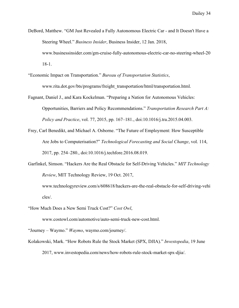- DeBord, Matthew. "GM Just Revealed a Fully Autonomous Electric Car and It Doesn't Have a Steering Wheel." *Business Insider*, Business Insider, 12 Jan. 2018, www.businessinsider.com/gm-cruise-fully-autonomous-electric-car-no-steering-wheel-20 18-1.
- "Economic Impact on Transportation." *Bureau of Transportation Statistics*, www.rita.dot.gov/bts/programs/freight\_transportation/html/transportation.html.
- Fagnant, Daniel J., and Kara Kockelman. "Preparing a Nation for Autonomous Vehicles: Opportunities, Barriers and Policy Recommendations." *Transportation Research Part A: Policy and Practice*, vol. 77, 2015, pp. 167–181., doi:10.1016/j.tra.2015.04.003.
- Frey, Carl Benedikt, and Michael A. Osborne. "The Future of Employment: How Susceptible Are Jobs to Computerisation?" *Technological Forecasting and Social Change*, vol. 114, 2017, pp. 254–280., doi:10.1016/j.techfore.2016.08.019.
- Garfinkel, Simson. "Hackers Are the Real Obstacle for Self-Driving Vehicles." *MIT Technology Review*, MIT Technology Review, 19 Oct. 2017, www.technologyreview.com/s/608618/hackers-are-the-real-obstacle-for-self-driving-vehi

cles/.

"How Much Does a New Semi Truck Cost?" *Cost Owl*,

www.costowl.com/automotive/auto-semi-truck-new-cost.html.

"Journey – Waymo." *Waymo*, waymo.com/journey/.

Kolakowski, Mark. "How Robots Rule the Stock Market (SPX, DJIA)." *Investopedia*, 19 June 2017, www.investopedia.com/news/how-robots-rule-stock-market-spx-djia/.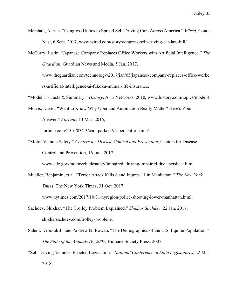Marshall, Aarian. "Congress Unites to Spread Self-Driving Cars Across America." *Wired*, Conde Nast, 6 Sept. 2017, www.wired.com/story/congress-self-driving-car-law-bill/.

McCurry, Justin. "Japanese Company Replaces Office Workers with Artificial Intelligence." *The Guardian*, Guardian News and Media, 5 Jan. 2017, www.theguardian.com/technology/2017/jan/05/japanese-company-replaces-office-worke rs-artificial-intelligence-ai-fukoku-mutual-life-insurance.

"Model T - Facts & Summary." *History*, A+E Networks, 2010, www.history.com/topics/model-t.

Morris, David. "Want to Know Why Uber and Automation Really Matter? Here's Your Answer." *Fortune*, 13 Mar. 2016,

fortune.com/2016/03/13/cars-parked-95-percent-of-time/.

"Motor Vehicle Safety." *Centers for Disease Control and Prevention*, Centers for Disease Control and Prevention, 16 June 2017,

www.cdc.gov/motorvehiclesafety/impaired\_driving/impaired-drv\_factsheet.html.

Mueller, Benjamin, et al. "Terror Attack Kills 8 and Injures 11 in Manhattan." *The New York Times*, The New York Times, 31 Oct. 2017,

www.nytimes.com/2017/10/31/nyregion/police-shooting-lower-manhattan.html.

- Sachdev, Shikhar. "The Trolley Problem Explained." *Shikhar Sachdev*, 22 Jan. 2017, shikharsachdev.com/trolley-problem/.
- Salem, Deborah J., and Andrew N. Rowan. "The Demographics of the U.S. Equine Population." *The State of the Animals IV, 2007*, Humane Society Press, 2007.
- "Self-Driving Vehicles Enacted Legislation." *National Conference of State Legislatures*, 22 Mar. 2018,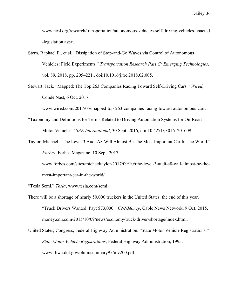www.ncsl.org/research/transportation/autonomous-vehicles-self-driving-vehicles-enacted -legislation.aspx.

Stern, Raphael E., et al. "Dissipation of Stop-and-Go Waves via Control of Autonomous Vehicles: Field Experiments." *Transportation Research Part C: Emerging Technologies*, vol. 89, 2018, pp. 205–221., doi:10.1016/j.trc.2018.02.005.

Stewart, Jack. "Mapped: The Top 263 Companies Racing Toward Self-Driving Cars." *Wired*, Conde Nast, 6 Oct. 2017,

www.wired.com/2017/05/mapped-top-263-companies-racing-toward-autonomous-cars/.

- "Taxonomy and Definitions for Terms Related to Driving Automation Systems for On-Road Motor Vehicles." *SAE International*, 30 Sept. 2016, doi:10.4271/j3016\_201609.
- Taylor, Michael. "The Level 3 Audi A8 Will Almost Be The Most Important Car In The World." *Forbes*, Forbes Magazine, 10 Sept. 2017,

www.forbes.com/sites/michaeltaylor/2017/09/10/tthe-level-3-audi-a8-will-almost-be-themost-important-car-in-the-world/.

"Tesla Semi." *Tesla*, www.tesla.com/semi.

- There will be a shortage of nearly 50,000 truckers in the United States the end of this year. "Truck Drivers Wanted. Pay: \$73,000." *CNNMoney*, Cable News Network, 9 Oct. 2015, money.cnn.com/2015/10/09/news/economy/truck-driver-shortage/index.html.
- United States, Congress, Federal Highway Administration. "State Motor Vehicle Registrations." *State Motor Vehicle Registrations*, Federal Highway Administration, 1995. www.fhwa.dot.gov/ohim/summary95/mv200.pdf.